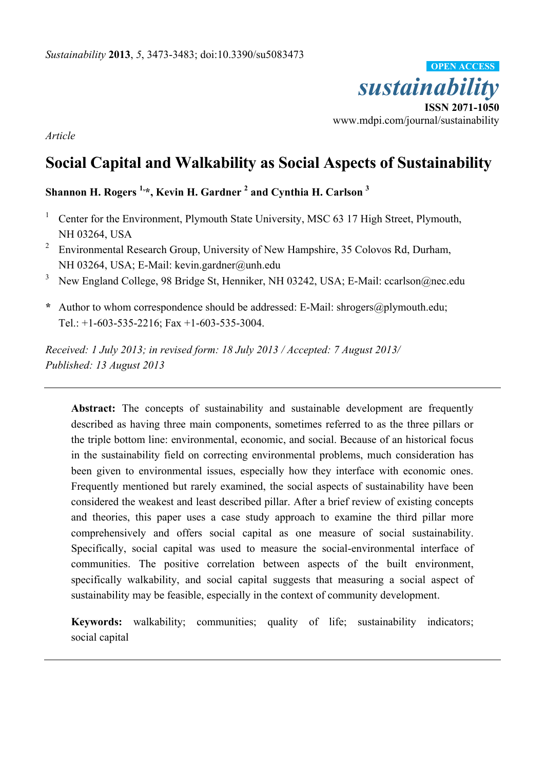

*Article* 

# **Social Capital and Walkability as Social Aspects of Sustainability**

**Shannon H. Rogers 1, \*, Kevin H. Gardner <sup>2</sup> and Cynthia H. Carlson <sup>3</sup>**

- <sup>1</sup> Center for the Environment, Plymouth State University, MSC 63 17 High Street, Plymouth, NH 03264, USA
- <sup>2</sup> Environmental Research Group, University of New Hampshire, 35 Colovos Rd, Durham, NH 03264, USA; E-Mail: kevin.gardner@unh.edu
- <sup>3</sup> New England College, 98 Bridge St, Henniker, NH 03242, USA; E-Mail: ccarlson@nec.edu
- **\*** Author to whom correspondence should be addressed: E-Mail: shrogers@plymouth.edu; Tel.: +1-603-535-2216; Fax +1-603-535-3004.

*Received: 1 July 2013; in revised form: 18 July 2013 / Accepted: 7 August 2013/ Published: 13 August 2013*

Abstract: The concepts of sustainability and sustainable development are frequently described as having three main components, sometimes referred to as the three pillars or the triple bottom line: environmental, economic, and social. Because of an historical focus in the sustainability field on correcting environmental problems, much consideration has been given to environmental issues, especially how they interface with economic ones. Frequently mentioned but rarely examined, the social aspects of sustainability have been considered the weakest and least described pillar. After a brief review of existing concepts and theories, this paper uses a case study approach to examine the third pillar more comprehensively and offers social capital as one measure of social sustainability. Specifically, social capital was used to measure the social-environmental interface of communities. The positive correlation between aspects of the built environment, specifically walkability, and social capital suggests that measuring a social aspect of sustainability may be feasible, especially in the context of community development.

**Keywords:** walkability; communities; quality of life; sustainability indicators; social capital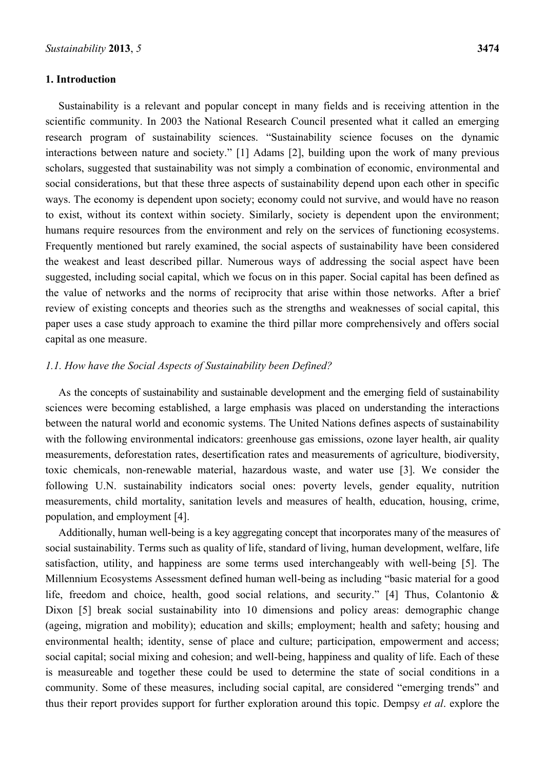### **1. Introduction**

Sustainability is a relevant and popular concept in many fields and is receiving attention in the scientific community. In 2003 the National Research Council presented what it called an emerging research program of sustainability sciences. "Sustainability science focuses on the dynamic interactions between nature and society." [1] Adams [2], building upon the work of many previous scholars, suggested that sustainability was not simply a combination of economic, environmental and social considerations, but that these three aspects of sustainability depend upon each other in specific ways. The economy is dependent upon society; economy could not survive, and would have no reason to exist, without its context within society. Similarly, society is dependent upon the environment; humans require resources from the environment and rely on the services of functioning ecosystems. Frequently mentioned but rarely examined, the social aspects of sustainability have been considered the weakest and least described pillar. Numerous ways of addressing the social aspect have been suggested, including social capital, which we focus on in this paper. Social capital has been defined as the value of networks and the norms of reciprocity that arise within those networks. After a brief review of existing concepts and theories such as the strengths and weaknesses of social capital, this paper uses a case study approach to examine the third pillar more comprehensively and offers social capital as one measure.

## *1.1. How have the Social Aspects of Sustainability been Defined?*

As the concepts of sustainability and sustainable development and the emerging field of sustainability sciences were becoming established, a large emphasis was placed on understanding the interactions between the natural world and economic systems. The United Nations defines aspects of sustainability with the following environmental indicators: greenhouse gas emissions, ozone layer health, air quality measurements, deforestation rates, desertification rates and measurements of agriculture, biodiversity, toxic chemicals, non-renewable material, hazardous waste, and water use [3]. We consider the following U.N. sustainability indicators social ones: poverty levels, gender equality, nutrition measurements, child mortality, sanitation levels and measures of health, education, housing, crime, population, and employment [4].

Additionally, human well-being is a key aggregating concept that incorporates many of the measures of social sustainability. Terms such as quality of life, standard of living, human development, welfare, life satisfaction, utility, and happiness are some terms used interchangeably with well-being [5]. The Millennium Ecosystems Assessment defined human well-being as including "basic material for a good life, freedom and choice, health, good social relations, and security." [4] Thus, Colantonio & Dixon [5] break social sustainability into 10 dimensions and policy areas: demographic change (ageing, migration and mobility); education and skills; employment; health and safety; housing and environmental health; identity, sense of place and culture; participation, empowerment and access; social capital; social mixing and cohesion; and well-being, happiness and quality of life. Each of these is measureable and together these could be used to determine the state of social conditions in a community. Some of these measures, including social capital, are considered "emerging trends" and thus their report provides support for further exploration around this topic. Dempsy *et al*. explore the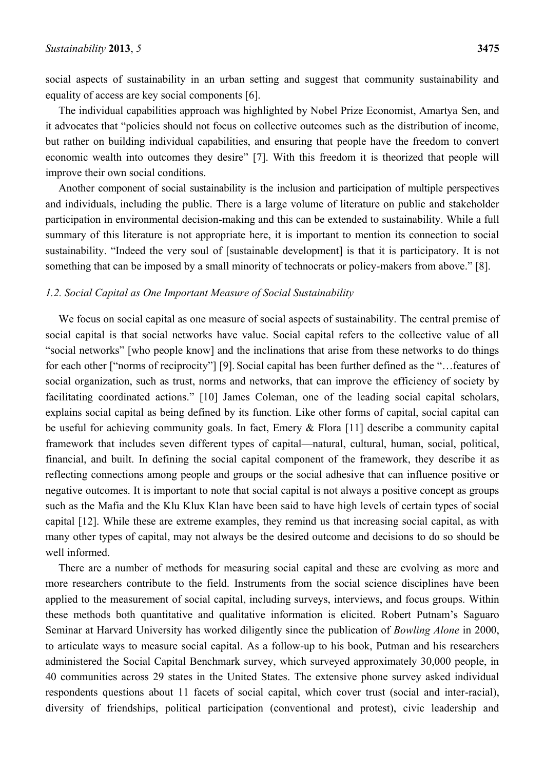social aspects of sustainability in an urban setting and suggest that community sustainability and equality of access are key social components [6].

The individual capabilities approach was highlighted by Nobel Prize Economist, Amartya Sen, and it advocates that "policies should not focus on collective outcomes such as the distribution of income, but rather on building individual capabilities, and ensuring that people have the freedom to convert economic wealth into outcomes they desire" [7]. With this freedom it is theorized that people will improve their own social conditions.

Another component of social sustainability is the inclusion and participation of multiple perspectives and individuals, including the public. There is a large volume of literature on public and stakeholder participation in environmental decision-making and this can be extended to sustainability. While a full summary of this literature is not appropriate here, it is important to mention its connection to social sustainability. "Indeed the very soul of [sustainable development] is that it is participatory. It is not something that can be imposed by a small minority of technocrats or policy-makers from above." [8].

#### *1.2. Social Capital as One Important Measure of Social Sustainability*

We focus on social capital as one measure of social aspects of sustainability. The central premise of social capital is that social networks have value. Social capital refers to the collective value of all "social networks" [who people know] and the inclinations that arise from these networks to do things for each other ["norms of reciprocity"] [9]. Social capital has been further defined as the "...features of social organization, such as trust, norms and networks, that can improve the efficiency of society by facilitating coordinated actions." [10] James Coleman, one of the leading social capital scholars, explains social capital as being defined by its function. Like other forms of capital, social capital can be useful for achieving community goals. In fact, Emery & Flora [11] describe a community capital framework that includes seven different types of capital—natural, cultural, human, social, political, financial, and built. In defining the social capital component of the framework, they describe it as reflecting connections among people and groups or the social adhesive that can influence positive or negative outcomes. It is important to note that social capital is not always a positive concept as groups such as the Mafia and the Klu Klux Klan have been said to have high levels of certain types of social capital [12]. While these are extreme examples, they remind us that increasing social capital, as with many other types of capital, may not always be the desired outcome and decisions to do so should be well informed.

There are a number of methods for measuring social capital and these are evolving as more and more researchers contribute to the field. Instruments from the social science disciplines have been applied to the measurement of social capital, including surveys, interviews, and focus groups. Within these methods both quantitative and qualitative information is elicited. Robert Putnam's Saguaro Seminar at Harvard University has worked diligently since the publication of *Bowling Alone* in 2000, to articulate ways to measure social capital. As a follow-up to his book, Putman and his researchers administered the Social Capital Benchmark survey, which surveyed approximately 30,000 people, in 40 communities across 29 states in the United States. The extensive phone survey asked individual respondents questions about 11 facets of social capital, which cover trust (social and inter-racial), diversity of friendships, political participation (conventional and protest), civic leadership and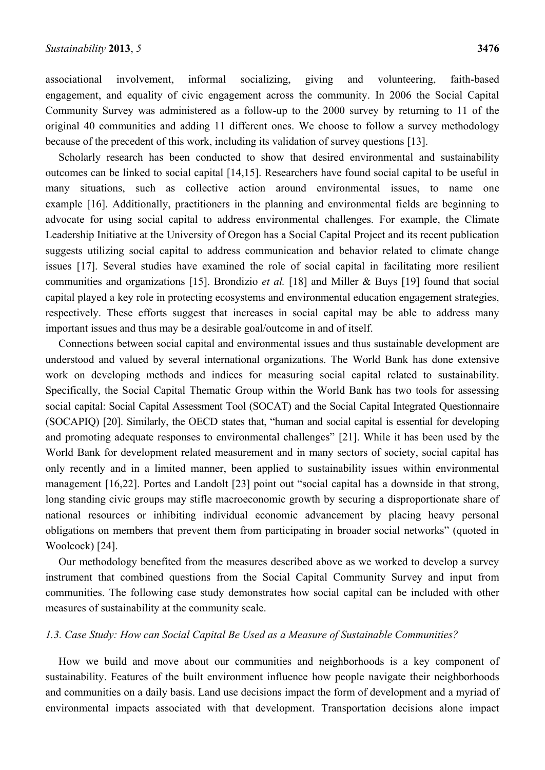associational involvement, informal socializing, giving and volunteering, faith-based engagement, and equality of civic engagement across the community. In 2006 the Social Capital Community Survey was administered as a follow-up to the 2000 survey by returning to 11 of the original 40 communities and adding 11 different ones. We choose to follow a survey methodology because of the precedent of this work, including its validation of survey questions [13].

Scholarly research has been conducted to show that desired environmental and sustainability outcomes can be linked to social capital [14,15]. Researchers have found social capital to be useful in many situations, such as collective action around environmental issues, to name one example [16]. Additionally, practitioners in the planning and environmental fields are beginning to advocate for using social capital to address environmental challenges. For example, the Climate Leadership Initiative at the University of Oregon has a Social Capital Project and its recent publication suggests utilizing social capital to address communication and behavior related to climate change issues [17]. Several studies have examined the role of social capital in facilitating more resilient communities and organizations [15]. Brondizio *et al.* [18] and Miller & Buys [19] found that social capital played a key role in protecting ecosystems and environmental education engagement strategies, respectively. These efforts suggest that increases in social capital may be able to address many important issues and thus may be a desirable goal/outcome in and of itself.

Connections between social capital and environmental issues and thus sustainable development are understood and valued by several international organizations. The World Bank has done extensive work on developing methods and indices for measuring social capital related to sustainability. Specifically, the Social Capital Thematic Group within the World Bank has two tools for assessing social capital: Social Capital Assessment Tool (SOCAT) and the Social Capital Integrated Questionnaire (SOCAPIQ) [20]. Similarly, the OECD states that, "human and social capital is essential for developing and promoting adequate responses to environmental challenges" [21]. While it has been used by the World Bank for development related measurement and in many sectors of society, social capital has only recently and in a limited manner, been applied to sustainability issues within environmental management [16,22]. Portes and Landolt [23] point out "social capital has a downside in that strong, long standing civic groups may stifle macroeconomic growth by securing a disproportionate share of national resources or inhibiting individual economic advancement by placing heavy personal obligations on members that prevent them from participating in broader social networks" (quoted in Woolcock) [24].

Our methodology benefited from the measures described above as we worked to develop a survey instrument that combined questions from the Social Capital Community Survey and input from communities. The following case study demonstrates how social capital can be included with other measures of sustainability at the community scale.

## *1.3. Case Study: How can Social Capital Be Used as a Measure of Sustainable Communities?*

How we build and move about our communities and neighborhoods is a key component of sustainability. Features of the built environment influence how people navigate their neighborhoods and communities on a daily basis. Land use decisions impact the form of development and a myriad of environmental impacts associated with that development. Transportation decisions alone impact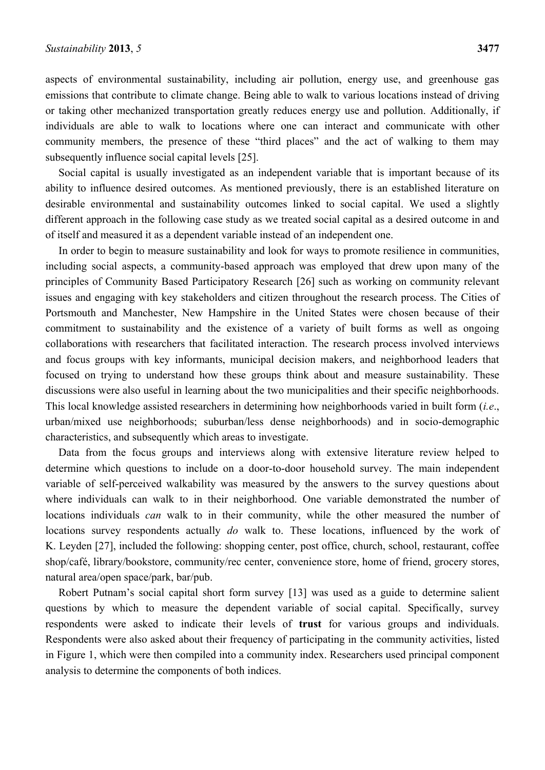aspects of environmental sustainability, including air pollution, energy use, and greenhouse gas emissions that contribute to climate change. Being able to walk to various locations instead of driving or taking other mechanized transportation greatly reduces energy use and pollution. Additionally, if individuals are able to walk to locations where one can interact and communicate with other community members, the presence of these "third places" and the act of walking to them may subsequently influence social capital levels [25].

Social capital is usually investigated as an independent variable that is important because of its ability to influence desired outcomes. As mentioned previously, there is an established literature on desirable environmental and sustainability outcomes linked to social capital. We used a slightly different approach in the following case study as we treated social capital as a desired outcome in and of itself and measured it as a dependent variable instead of an independent one.

In order to begin to measure sustainability and look for ways to promote resilience in communities, including social aspects, a community-based approach was employed that drew upon many of the principles of Community Based Participatory Research [26] such as working on community relevant issues and engaging with key stakeholders and citizen throughout the research process. The Cities of Portsmouth and Manchester, New Hampshire in the United States were chosen because of their commitment to sustainability and the existence of a variety of built forms as well as ongoing collaborations with researchers that facilitated interaction. The research process involved interviews and focus groups with key informants, municipal decision makers, and neighborhood leaders that focused on trying to understand how these groups think about and measure sustainability. These discussions were also useful in learning about the two municipalities and their specific neighborhoods. This local knowledge assisted researchers in determining how neighborhoods varied in built form (*i.e*., urban/mixed use neighborhoods; suburban/less dense neighborhoods) and in socio-demographic characteristics, and subsequently which areas to investigate.

Data from the focus groups and interviews along with extensive literature review helped to determine which questions to include on a door-to-door household survey. The main independent variable of self-perceived walkability was measured by the answers to the survey questions about where individuals can walk to in their neighborhood. One variable demonstrated the number of locations individuals *can* walk to in their community, while the other measured the number of locations survey respondents actually *do* walk to. These locations, influenced by the work of K. Leyden [27], included the following: shopping center, post office, church, school, restaurant, coffee shop/café, library/bookstore, community/rec center, convenience store, home of friend, grocery stores, natural area/open space/park, bar/pub.

Robert Putnam's social capital short form survey [13] was used as a guide to determine salient questions by which to measure the dependent variable of social capital. Specifically, survey respondents were asked to indicate their levels of **trust** for various groups and individuals. Respondents were also asked about their frequency of participating in the community activities, listed in Figure 1, which were then compiled into a community index. Researchers used principal component analysis to determine the components of both indices.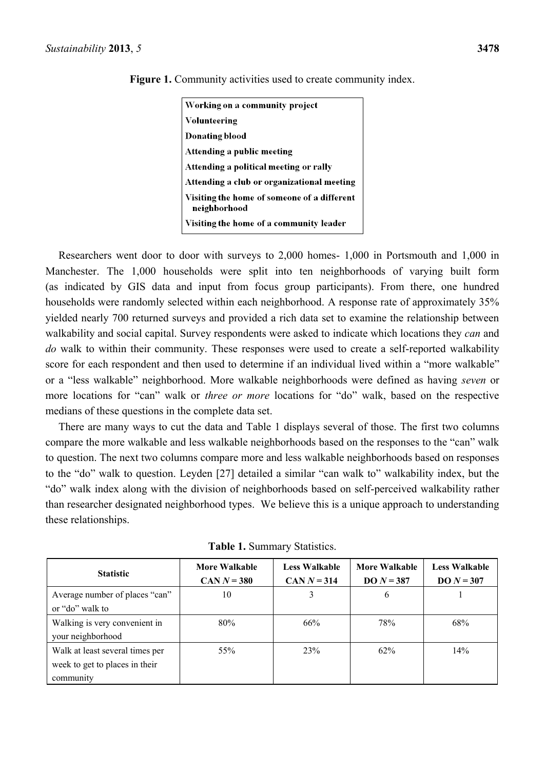| Working on a community project                              |
|-------------------------------------------------------------|
| Volunteering                                                |
| Donating blood                                              |
| Attending a public meeting                                  |
| Attending a political meeting or rally                      |
| Attending a club or organizational meeting                  |
| Visiting the home of someone of a different<br>neighborhood |
| Visiting the home of a community leader                     |

**Figure 1.** Community activities used to create community index.

Researchers went door to door with surveys to 2,000 homes- 1,000 in Portsmouth and 1,000 in Manchester. The 1,000 households were split into ten neighborhoods of varying built form (as indicated by GIS data and input from focus group participants). From there, one hundred households were randomly selected within each neighborhood. A response rate of approximately 35% yielded nearly 700 returned surveys and provided a rich data set to examine the relationship between walkability and social capital. Survey respondents were asked to indicate which locations they *can* and *do* walk to within their community. These responses were used to create a self-reported walkability score for each respondent and then used to determine if an individual lived within a "more walkable" or a "less walkable" neighborhood. More walkable neighborhoods were defined as having *seven* or more locations for "can" walk or *three or more* locations for "do" walk, based on the respective medians of these questions in the complete data set.

There are many ways to cut the data and Table 1 displays several of those. The first two columns compare the more walkable and less walkable neighborhoods based on the responses to the "can" walk to question. The next two columns compare more and less walkable neighborhoods based on responses to the "do" walk to question. Leyden [27] detailed a similar "can walk to" walkability index, but the "do" walk index along with the division of neighborhoods based on self-perceived walkability rather than researcher designated neighborhood types. We believe this is a unique approach to understanding these relationships.

| <b>Statistic</b>                                                               | More Walkable<br>$CAN N = 380$ | <b>Less Walkable</b><br>$CAN N = 314$ | <b>More Walkable</b><br>$DO N = 387$ | <b>Less Walkable</b><br>$DO N = 307$ |
|--------------------------------------------------------------------------------|--------------------------------|---------------------------------------|--------------------------------------|--------------------------------------|
| Average number of places "can"<br>or "do" walk to                              | 10                             | 3                                     | 6                                    |                                      |
| Walking is very convenient in<br>your neighborhood                             | 80%                            | 66%                                   | 78%                                  | 68%                                  |
| Walk at least several times per<br>week to get to places in their<br>community | 55%                            | 23%                                   | 62%                                  | 14%                                  |

**Table 1.** Summary Statistics.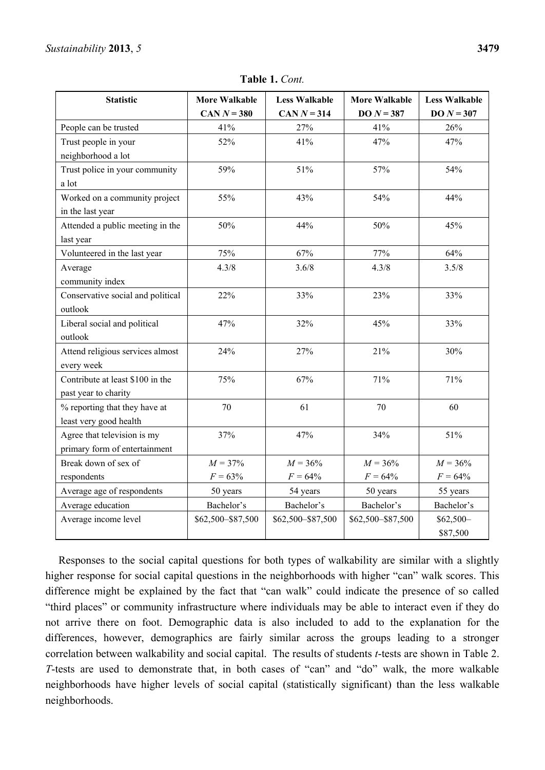| <b>Statistic</b>                  | <b>More Walkable</b> | <b>Less Walkable</b> | <b>More Walkable</b> | <b>Less Walkable</b> |  |
|-----------------------------------|----------------------|----------------------|----------------------|----------------------|--|
|                                   | CAN $N = 380$        | CAN $N = 314$        | $DO N = 387$         | $DO N = 307$         |  |
| People can be trusted             | 41%                  | 27%                  | 41%                  | 26%                  |  |
| Trust people in your              | 52%                  | 41%                  | 47%                  | 47%                  |  |
| neighborhood a lot                |                      |                      |                      |                      |  |
| Trust police in your community    | 59%                  | 51%                  | 57%                  | 54%                  |  |
| a lot                             |                      |                      |                      |                      |  |
| Worked on a community project     | 55%                  | 43%                  | 54%                  | 44%                  |  |
| in the last year                  |                      |                      |                      |                      |  |
| Attended a public meeting in the  | 50%                  | 44%                  | 50%                  | 45%                  |  |
| last year                         |                      |                      |                      |                      |  |
| Volunteered in the last year      | 75%                  | 67%                  | 77%                  | 64%                  |  |
| Average                           | 4.3/8                | 3.6/8                | 4.3/8                | 3.5/8                |  |
| community index                   |                      |                      |                      |                      |  |
| Conservative social and political | 22%                  | 33%                  | 23%                  | 33%                  |  |
| outlook                           |                      |                      |                      |                      |  |
| Liberal social and political      | 47%                  | 32%                  | 45%                  | 33%                  |  |
| outlook                           |                      |                      |                      |                      |  |
| Attend religious services almost  | 24%                  | 27%                  | 21%                  | 30%                  |  |
| every week                        |                      |                      |                      |                      |  |
| Contribute at least \$100 in the  | 75%                  | 67%                  | 71%                  | 71%                  |  |
| past year to charity              |                      |                      |                      |                      |  |
| % reporting that they have at     | 70                   | 61                   | 70                   | 60                   |  |
| least very good health            |                      |                      |                      |                      |  |
| Agree that television is my       | 37%                  | 47%                  | 34%                  | 51%                  |  |
| primary form of entertainment     |                      |                      |                      |                      |  |
| Break down of sex of              | $M = 37\%$           | $M = 36\%$           | $M = 36\%$           | $M = 36\%$           |  |
| respondents                       | $F = 63%$            | $F = 64\%$           | $F = 64\%$           | $F = 64\%$           |  |
| Average age of respondents        | 50 years             | 54 years             | 50 years             | 55 years             |  |
| Average education                 | Bachelor's           | Bachelor's           | Bachelor's           | Bachelor's           |  |
| Average income level              | \$62,500-\$87,500    | \$62,500-\$87,500    | \$62,500-\$87,500    | $$62,500-$           |  |
|                                   |                      |                      |                      | \$87,500             |  |

**Table 1.** *Cont.*

Responses to the social capital questions for both types of walkability are similar with a slightly higher response for social capital questions in the neighborhoods with higher "can" walk scores. This difference might be explained by the fact that "can walk" could indicate the presence of so called ―third places‖ or community infrastructure where individuals may be able to interact even if they do not arrive there on foot. Demographic data is also included to add to the explanation for the differences, however, demographics are fairly similar across the groups leading to a stronger correlation between walkability and social capital. The results of students *t*-tests are shown in Table 2. *T*-tests are used to demonstrate that, in both cases of "can" and "do" walk, the more walkable neighborhoods have higher levels of social capital (statistically significant) than the less walkable neighborhoods.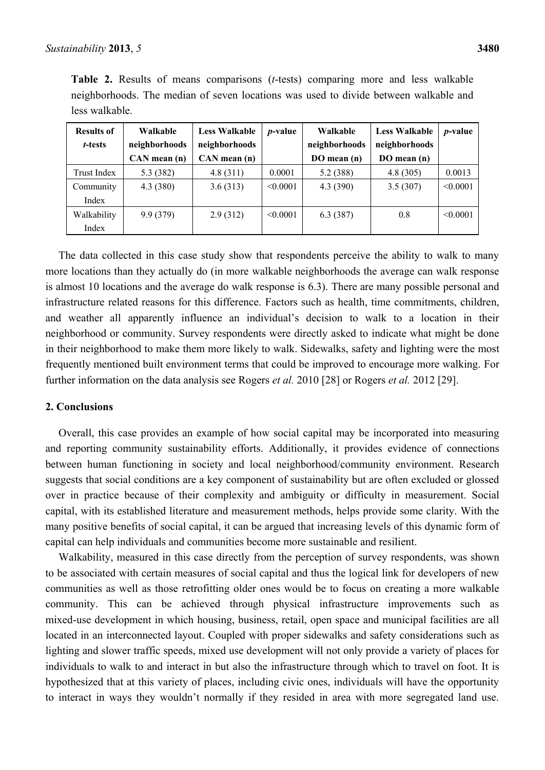| <b>Table 2.</b> Results of means comparisons ( <i>t</i> -tests) comparing more and less walkable |  |  |  |  |  |  |  |
|--------------------------------------------------------------------------------------------------|--|--|--|--|--|--|--|
| neighborhoods. The median of seven locations was used to divide between walkable and             |  |  |  |  |  |  |  |
| less walkable.                                                                                   |  |  |  |  |  |  |  |

| <b>Results of</b> | Walkable         | <b>Less Walkable</b> | <i>p</i> -value | Walkable      | <b>Less Walkable</b> | <i>p</i> -value |
|-------------------|------------------|----------------------|-----------------|---------------|----------------------|-----------------|
| t-tests           | neighborhoods    | neighborhoods        |                 | neighborhoods | neighborhoods        |                 |
|                   | $CAN$ mean $(n)$ | $CAN$ mean $(n)$     |                 | DO mean (n)   | DO mean (n)          |                 |
| Trust Index       | 5.3 (382)        | 4.8(311)             | 0.0001          | 5.2 (388)     | 4.8(305)             | 0.0013          |
| Community         | 4.3(380)         | 3.6(313)             | < 0.0001        | 4.3 (390)     | 3.5(307)             | < 0.0001        |
| Index             |                  |                      |                 |               |                      |                 |
| Walkability       | 9.9(379)         | 2.9(312)             | < 0.0001        | 6.3(387)      | 0.8                  | < 0.0001        |
| Index             |                  |                      |                 |               |                      |                 |

The data collected in this case study show that respondents perceive the ability to walk to many more locations than they actually do (in more walkable neighborhoods the average can walk response is almost 10 locations and the average do walk response is 6.3). There are many possible personal and infrastructure related reasons for this difference. Factors such as health, time commitments, children, and weather all apparently influence an individual's decision to walk to a location in their neighborhood or community. Survey respondents were directly asked to indicate what might be done in their neighborhood to make them more likely to walk. Sidewalks, safety and lighting were the most frequently mentioned built environment terms that could be improved to encourage more walking. For further information on the data analysis see Rogers *et al.* 2010 [28] or Rogers *et al.* 2012 [29].

## **2. Conclusions**

Overall, this case provides an example of how social capital may be incorporated into measuring and reporting community sustainability efforts. Additionally, it provides evidence of connections between human functioning in society and local neighborhood/community environment. Research suggests that social conditions are a key component of sustainability but are often excluded or glossed over in practice because of their complexity and ambiguity or difficulty in measurement. Social capital, with its established literature and measurement methods, helps provide some clarity. With the many positive benefits of social capital, it can be argued that increasing levels of this dynamic form of capital can help individuals and communities become more sustainable and resilient.

Walkability, measured in this case directly from the perception of survey respondents, was shown to be associated with certain measures of social capital and thus the logical link for developers of new communities as well as those retrofitting older ones would be to focus on creating a more walkable community. This can be achieved through physical infrastructure improvements such as mixed-use development in which housing, business, retail, open space and municipal facilities are all located in an interconnected layout. Coupled with proper sidewalks and safety considerations such as lighting and slower traffic speeds, mixed use development will not only provide a variety of places for individuals to walk to and interact in but also the infrastructure through which to travel on foot. It is hypothesized that at this variety of places, including civic ones, individuals will have the opportunity to interact in ways they wouldn't normally if they resided in area with more segregated land use.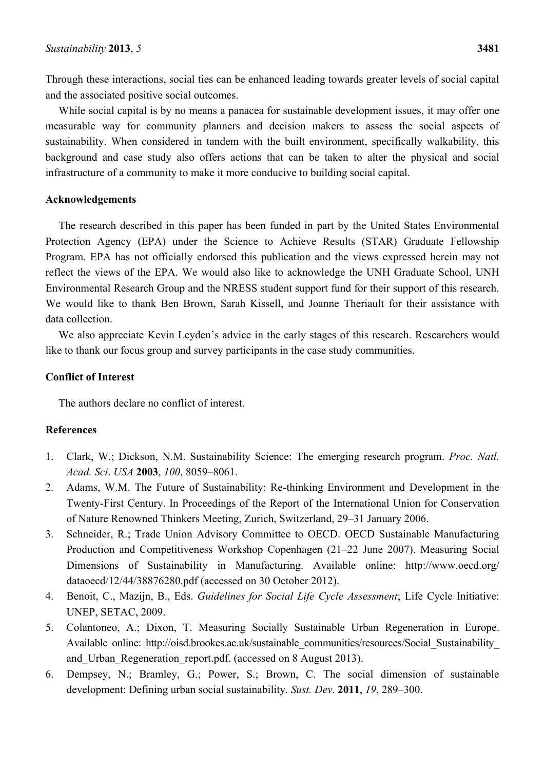Through these interactions, social ties can be enhanced leading towards greater levels of social capital and the associated positive social outcomes.

While social capital is by no means a panacea for sustainable development issues, it may offer one measurable way for community planners and decision makers to assess the social aspects of sustainability. When considered in tandem with the built environment, specifically walkability, this background and case study also offers actions that can be taken to alter the physical and social infrastructure of a community to make it more conducive to building social capital.

## **Acknowledgements**

The research described in this paper has been funded in part by the United States Environmental Protection Agency (EPA) under the Science to Achieve Results (STAR) Graduate Fellowship Program. EPA has not officially endorsed this publication and the views expressed herein may not reflect the views of the EPA. We would also like to acknowledge the UNH Graduate School, UNH Environmental Research Group and the NRESS student support fund for their support of this research. We would like to thank Ben Brown, Sarah Kissell, and Joanne Theriault for their assistance with data collection.

We also appreciate Kevin Leyden's advice in the early stages of this research. Researchers would like to thank our focus group and survey participants in the case study communities.

# **Conflict of Interest**

The authors declare no conflict of interest.

# **References**

- 1. Clark, W.; Dickson, N.M. Sustainability Science: The emerging research program. *Proc. Natl. Acad. Sci*. *USA* **2003**, *100*, 8059–8061.
- 2. Adams, W.M. The Future of Sustainability: Re-thinking Environment and Development in the Twenty-First Century. In Proceedings of the Report of the International Union for Conservation of Nature Renowned Thinkers Meeting, Zurich, Switzerland, 29–31 January 2006.
- 3. Schneider, R.; Trade Union Advisory Committee to OECD. OECD Sustainable Manufacturing Production and Competitiveness Workshop Copenhagen (21–22 June 2007). Measuring Social Dimensions of Sustainability in Manufacturing. Available online: http://www.oecd.org/ dataoecd/12/44/38876280.pdf (accessed on 30 October 2012).
- 4. Benoit, C., Mazijn, B., Eds. *Guidelines for Social Life Cycle Assessment*; Life Cycle Initiative: UNEP, SETAC, 2009.
- 5. Colantoneo, A.; Dixon, T. Measuring Socially Sustainable Urban Regeneration in Europe. Available online: http://oisd.brookes.ac.uk/sustainable\_communities/resources/Social\_Sustainability and Urban Regeneration report.pdf. (accessed on 8 August 2013).
- 6. Dempsey, N.; Bramley, G.; Power, S.; Brown, C. The social dimension of sustainable development: Defining urban social sustainability. *Sust. Dev.* **2011**, *19*, 289–300.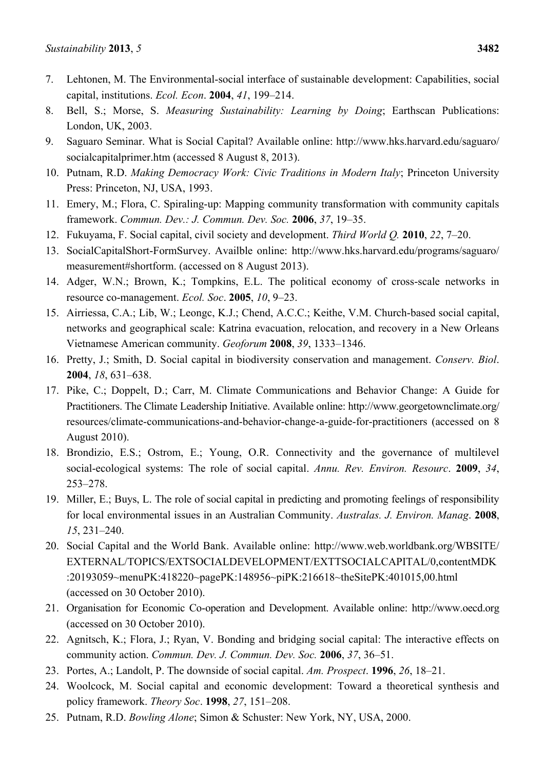- 7. Lehtonen, M. The Environmental-social interface of sustainable development: Capabilities, social capital, institutions. *Ecol. Econ*. **2004**, *41*, 199–214.
- 8. Bell, S.; Morse, S. *Measuring Sustainability: Learning by Doing*; Earthscan Publications: London, UK, 2003.
- 9. Saguaro Seminar. What is Social Capital? Available online: http://www.hks.harvard.edu/saguaro/ socialcapitalprimer.htm (accessed 8 August 8, 2013).
- 10. Putnam, R.D. *Making Democracy Work: Civic Traditions in Modern Italy*; Princeton University Press: Princeton, NJ, USA, 1993.
- 11. Emery, M.; Flora, C. Spiraling-up: Mapping community transformation with community capitals framework. *Commun. Dev.: J. Commun. Dev. Soc.* **2006**, *37*, 19–35.
- 12. Fukuyama, F. Social capital, civil society and development. *Third World Q.* **2010**, *22*, 7–20.
- 13. SocialCapitalShort-FormSurvey. Availble online: http://www.hks.harvard.edu/programs/saguaro/ measurement#shortform. (accessed on 8 August 2013).
- 14. Adger, W.N.; Brown, K.; Tompkins, E.L. The political economy of cross-scale networks in resource co-management. *Ecol. Soc*. **2005**, *10*, 9–23.
- 15. Airriessa, C.A.; Lib, W.; Leongc, K.J.; Chend, A.C.C.; Keithe, V.M. Church-based social capital, networks and geographical scale: Katrina evacuation, relocation, and recovery in a New Orleans Vietnamese American community. *Geoforum* **2008**, *39*, 1333–1346.
- 16. Pretty, J.; Smith, D. Social capital in biodiversity conservation and management. *Conserv. Biol*. **2004**, *18*, 631–638.
- 17. Pike, C.; Doppelt, D.; Carr, M. Climate Communications and Behavior Change: A Guide for Practitioners. The Climate Leadership Initiative. Available online: http://www.georgetownclimate.org/ resources/climate-communications-and-behavior-change-a-guide-for-practitioners (accessed on 8 August 2010).
- 18. Brondizio, E.S.; Ostrom, E.; Young, O.R. Connectivity and the governance of multilevel social-ecological systems: The role of social capital. *Annu. Rev. Environ. Resourc*. **2009**, *34*, 253–278.
- 19. Miller, E.; Buys, L. The role of social capital in predicting and promoting feelings of responsibility for local environmental issues in an Australian Community. *Australas. J. Environ. Manag*. **2008**, *15*, 231–240.
- 20. Social Capital and the World Bank. Available online: http://www.web.worldbank.org/WBSITE/ EXTERNAL/TOPICS/EXTSOCIALDEVELOPMENT/EXTTSOCIALCAPITAL/0,contentMDK :20193059~menuPK:418220~pagePK:148956~piPK:216618~theSitePK:401015,00.html (accessed on 30 October 2010).
- 21. Organisation for Economic Co-operation and Development. Available online: http://www.oecd.org (accessed on 30 October 2010).
- 22. Agnitsch, K.; Flora, J.; Ryan, V. Bonding and bridging social capital: The interactive effects on community action. *Commun. Dev. J. Commun. Dev. Soc.* **2006**, *37*, 36–51.
- 23. Portes, A.; Landolt, P. The downside of social capital. *Am. Prospect*. **1996**, *26*, 18–21.
- 24. Woolcock, M. Social capital and economic development: Toward a theoretical synthesis and policy framework. *Theory Soc*. **1998**, *27*, 151–208.
- 25. Putnam, R.D. *Bowling Alone*; Simon & Schuster: New York, NY, USA, 2000.